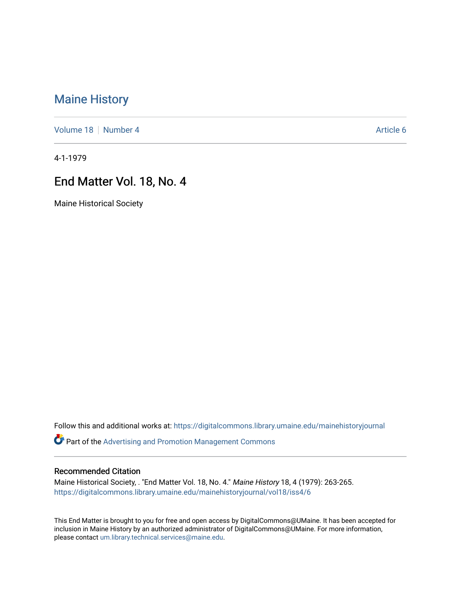# [Maine History](https://digitalcommons.library.umaine.edu/mainehistoryjournal)

[Volume 18](https://digitalcommons.library.umaine.edu/mainehistoryjournal/vol18) [Number 4](https://digitalcommons.library.umaine.edu/mainehistoryjournal/vol18/iss4) Article 6

4-1-1979

## End Matter Vol. 18, No. 4

Maine Historical Society

Follow this and additional works at: [https://digitalcommons.library.umaine.edu/mainehistoryjournal](https://digitalcommons.library.umaine.edu/mainehistoryjournal?utm_source=digitalcommons.library.umaine.edu%2Fmainehistoryjournal%2Fvol18%2Fiss4%2F6&utm_medium=PDF&utm_campaign=PDFCoverPages) 

Part of the [Advertising and Promotion Management Commons](http://network.bepress.com/hgg/discipline/626?utm_source=digitalcommons.library.umaine.edu%2Fmainehistoryjournal%2Fvol18%2Fiss4%2F6&utm_medium=PDF&utm_campaign=PDFCoverPages) 

#### Recommended Citation

Maine Historical Society, . "End Matter Vol. 18, No. 4." Maine History 18, 4 (1979): 263-265. [https://digitalcommons.library.umaine.edu/mainehistoryjournal/vol18/iss4/6](https://digitalcommons.library.umaine.edu/mainehistoryjournal/vol18/iss4/6?utm_source=digitalcommons.library.umaine.edu%2Fmainehistoryjournal%2Fvol18%2Fiss4%2F6&utm_medium=PDF&utm_campaign=PDFCoverPages)

This End Matter is brought to you for free and open access by DigitalCommons@UMaine. It has been accepted for inclusion in Maine History by an authorized administrator of DigitalCommons@UMaine. For more information, please contact [um.library.technical.services@maine.edu.](mailto:um.library.technical.services@maine.edu)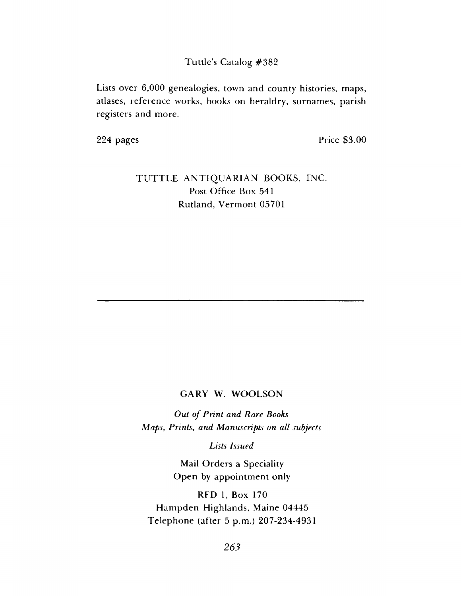**Tuttle's Catalog #382**

Lists over 6,000 genealogies, town and county histories, maps, atlases, reference works, books on heraldry, surnames, parish registers and more.

224 pages Price \$3.00

### TUTTLE ANTIQUARIAN BOOKS, INC. Post Office Box 541 Rutland, Vermont 05701

### GARY W. WOOLSON

**Out of Print and Rare Books** *M aps*, *Prints*, *and Manuscripts on all subjects*

*Lists Issued*

Mail Orders a Speciality Open by appointment only

RFD 1, Box 170 Hampden Highlands, Maine 04445 Telephone (after 5 p.m.) 207-234-4931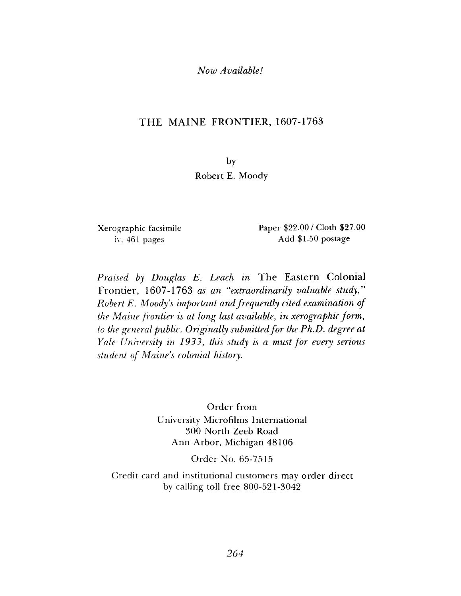#### *Now Available!*

### THE MAINE FRONTIER, 1607-1763

by Robert E. Moody

X erographic facsimile iv, 461 pages

Paper \$22.00 / Cloth \$27.00 Add \$1.50 postage

*Praised by Douglas E. Leach in* The Eastern Colonial Frontier, 1607-1763 *as an "extraordinarily valuable study" Robert E. Moody s important and frequently cited examination of the Maine frontier is at long last available*, *in xerographic form , to the general public. Originally submitted for the Ph.D. degree at Yale University in 1933, this study is a must for every serious student of Maine's colonial history.*

> Order from University Microfilms International 300 North Zeeb Road Ann Arbor, Michigan 48106

> > Order No. 65-7515

Credit card and institutional customers may order direct by calling toll free  $800-521-3042$